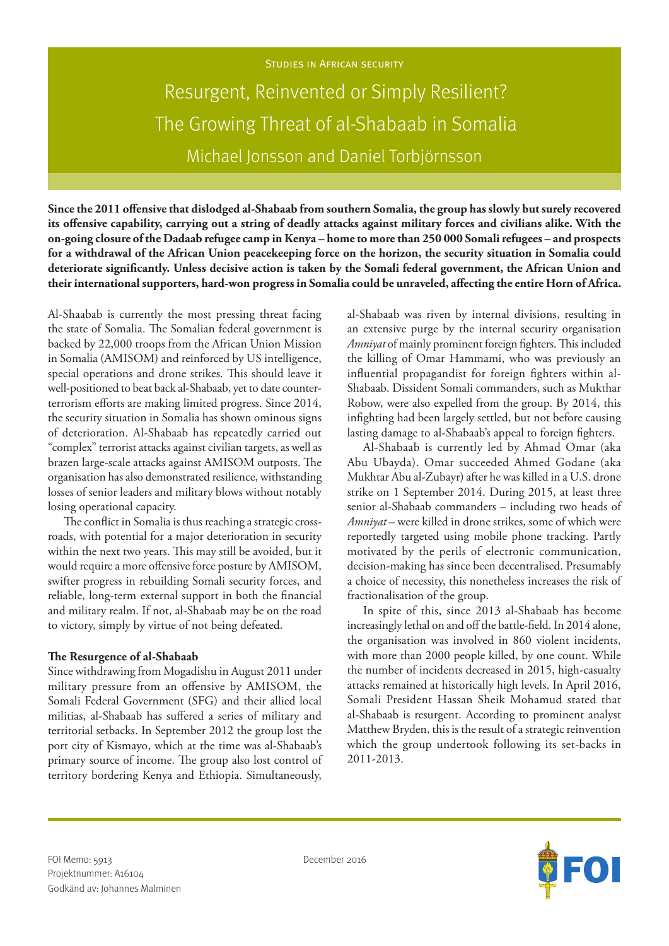# Resurgent, Reinvented or Simply Resilient? The Growing Threat of al-Shabaab in Somalia Michael Jonsson and Daniel Torbjörnsson

**Since the 2011 offensive that dislodged al-Shabaab from southern Somalia, the group has slowly but surely recovered its offensive capability, carrying out a string of deadly attacks against military forces and civilians alike. With the on-going closure of the Dadaab refugee camp in Kenya – home to more than 250 000 Somali refugees – and prospects for a withdrawal of the African Union peacekeeping force on the horizon, the security situation in Somalia could deteriorate significantly. Unless decisive action is taken by the Somali federal government, the African Union and their international supporters, hard-won progress in Somalia could be unraveled, affecting the entire Horn of Africa.** 

Al-Shaabab is currently the most pressing threat facing the state of Somalia. The Somalian federal government is backed by 22,000 troops from the African Union Mission in Somalia (AMISOM) and reinforced by US intelligence, special operations and drone strikes. This should leave it well-positioned to beat back al-Shabaab, yet to date counterterrorism efforts are making limited progress. Since 2014, the security situation in Somalia has shown ominous signs of deterioration. Al-Shabaab has repeatedly carried out "complex" terrorist attacks against civilian targets, as well as brazen large-scale attacks against AMISOM outposts. The organisation has also demonstrated resilience, withstanding losses of senior leaders and military blows without notably losing operational capacity.

The conflict in Somalia is thus reaching a strategic crossroads, with potential for a major deterioration in security within the next two years. This may still be avoided, but it would require a more offensive force posture by AMISOM, swifter progress in rebuilding Somali security forces, and reliable, long-term external support in both the financial and military realm. If not, al-Shabaab may be on the road to victory, simply by virtue of not being defeated.

#### **The Resurgence of al-Shabaab**

Since withdrawing from Mogadishu in August 2011 under military pressure from an offensive by AMISOM, the Somali Federal Government (SFG) and their allied local militias, al-Shabaab has suffered a series of military and territorial setbacks. In September 2012 the group lost the port city of Kismayo, which at the time was al-Shabaab's primary source of income. The group also lost control of territory bordering Kenya and Ethiopia. Simultaneously,

al-Shabaab was riven by internal divisions, resulting in an extensive purge by the internal security organisation *Amniyat* of mainly prominent foreign fighters. This included the killing of Omar Hammami, who was previously an influential propagandist for foreign fighters within al-Shabaab. Dissident Somali commanders, such as Mukthar Robow, were also expelled from the group. By 2014, this infighting had been largely settled, but not before causing lasting damage to al-Shabaab's appeal to foreign fighters.

Al-Shabaab is currently led by Ahmad Omar (aka Abu Ubayda). Omar succeeded Ahmed Godane (aka Mukhtar Abu al-Zubayr) after he was killed in a U.S. drone strike on 1 September 2014. During 2015, at least three senior al-Shabaab commanders – including two heads of *Amniyat* – were killed in drone strikes, some of which were reportedly targeted using mobile phone tracking. Partly motivated by the perils of electronic communication, decision-making has since been decentralised. Presumably a choice of necessity, this nonetheless increases the risk of fractionalisation of the group.

In spite of this, since 2013 al-Shabaab has become increasingly lethal on and off the battle-field. In 2014 alone, the organisation was involved in 860 violent incidents, with more than 2000 people killed, by one count. While the number of incidents decreased in 2015, high-casualty attacks remained at historically high levels. In April 2016, Somali President Hassan Sheik Mohamud stated that al-Shabaab is resurgent. According to prominent analyst Matthew Bryden, this is the result of a strategic reinvention which the group undertook following its set-backs in 2011-2013.

0

FOI Memo: 5913 **December 2016** Projektnummer: A16104 Godkänd av: Johannes Malminen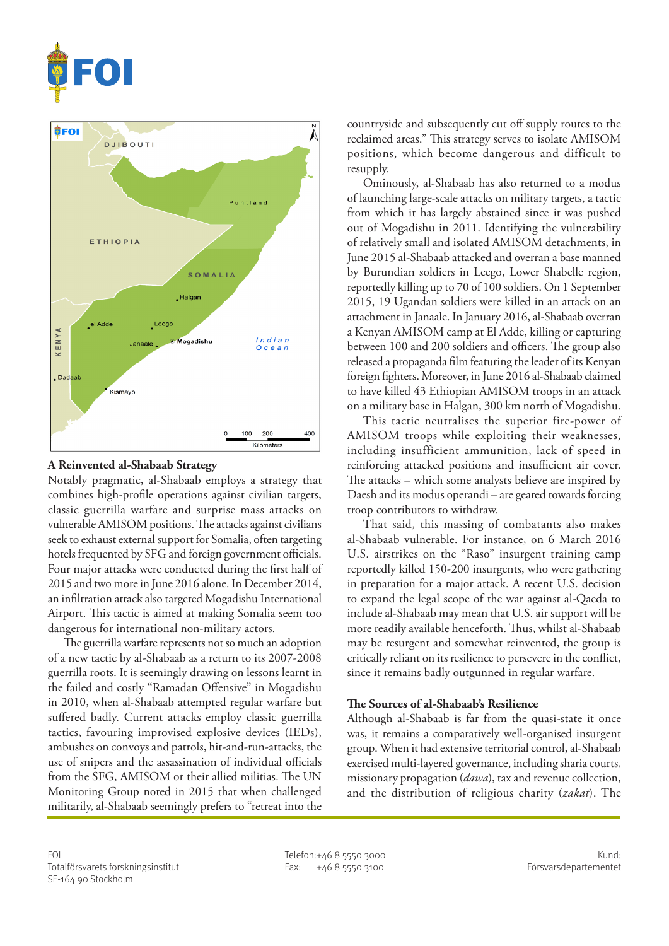



### **A Reinvented al-Shabaab Strategy**

Notably pragmatic, al-Shabaab employs a strategy that combines high-profile operations against civilian targets, classic guerrilla warfare and surprise mass attacks on vulnerable AMISOM positions. The attacks against civilians seek to exhaust external support for Somalia, often targeting hotels frequented by SFG and foreign government officials. Four major attacks were conducted during the first half of 2015 and two more in June 2016 alone. In December 2014, an infiltration attack also targeted Mogadishu International Airport. This tactic is aimed at making Somalia seem too dangerous for international non-military actors.

The guerrilla warfare represents not so much an adoption of a new tactic by al-Shabaab as a return to its 2007-2008 guerrilla roots. It is seemingly drawing on lessons learnt in the failed and costly "Ramadan Offensive" in Mogadishu in 2010, when al-Shabaab attempted regular warfare but suffered badly. Current attacks employ classic guerrilla tactics, favouring improvised explosive devices (IEDs), ambushes on convoys and patrols, hit-and-run-attacks, the use of snipers and the assassination of individual officials from the SFG, AMISOM or their allied militias. The UN Monitoring Group noted in 2015 that when challenged militarily, al-Shabaab seemingly prefers to "retreat into the

countryside and subsequently cut off supply routes to the reclaimed areas." This strategy serves to isolate AMISOM positions, which become dangerous and difficult to resupply.

Ominously, al-Shabaab has also returned to a modus of launching large-scale attacks on military targets, a tactic from which it has largely abstained since it was pushed out of Mogadishu in 2011. Identifying the vulnerability of relatively small and isolated AMISOM detachments, in June 2015 al-Shabaab attacked and overran a base manned by Burundian soldiers in Leego, Lower Shabelle region, reportedly killing up to 70 of 100 soldiers. On 1 September 2015, 19 Ugandan soldiers were killed in an attack on an attachment in Janaale. In January 2016, al-Shabaab overran a Kenyan AMISOM camp at El Adde, killing or capturing between 100 and 200 soldiers and officers. The group also released a propaganda film featuring the leader of its Kenyan foreign fighters. Moreover, in June 2016 al-Shabaab claimed to have killed 43 Ethiopian AMISOM troops in an attack on a military base in Halgan, 300 km north of Mogadishu.

This tactic neutralises the superior fire-power of AMISOM troops while exploiting their weaknesses, including insufficient ammunition, lack of speed in reinforcing attacked positions and insufficient air cover. The attacks – which some analysts believe are inspired by Daesh and its modus operandi – are geared towards forcing troop contributors to withdraw.

That said, this massing of combatants also makes al-Shabaab vulnerable. For instance, on 6 March 2016 U.S. airstrikes on the "Raso" insurgent training camp reportedly killed 150-200 insurgents, who were gathering in preparation for a major attack. A recent U.S. decision to expand the legal scope of the war against al-Qaeda to include al-Shabaab may mean that U.S. air support will be more readily available henceforth. Thus, whilst al-Shabaab may be resurgent and somewhat reinvented, the group is critically reliant on its resilience to persevere in the conflict, since it remains badly outgunned in regular warfare.

#### **The Sources of al-Shabaab's Resilience**

Although al-Shabaab is far from the quasi-state it once was, it remains a comparatively well-organised insurgent group. When it had extensive territorial control, al-Shabaab exercised multi-layered governance, including sharia courts, missionary propagation (*dawa*), tax and revenue collection, and the distribution of religious charity (*zakat*). The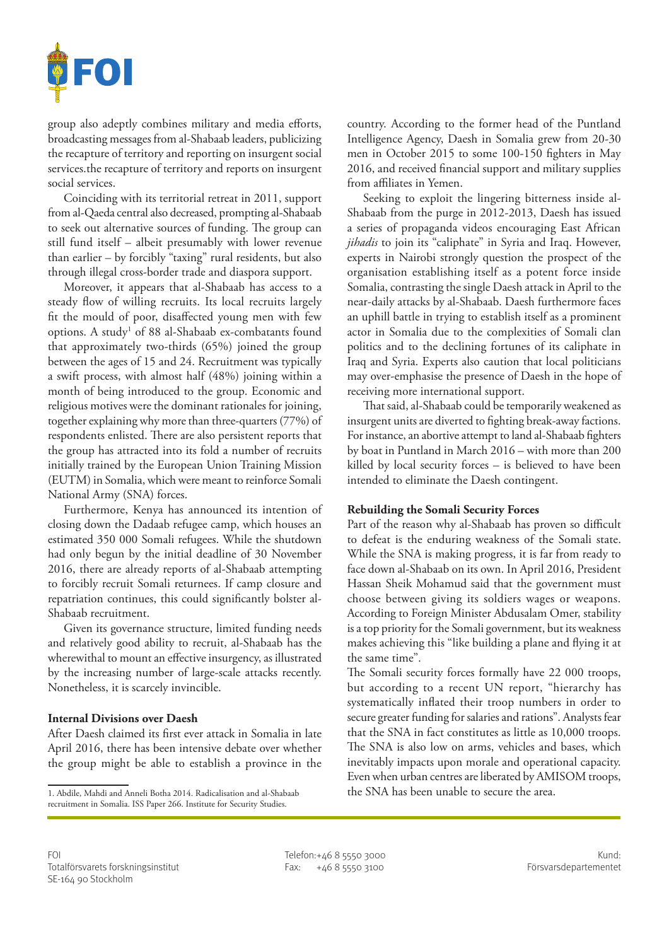

group also adeptly combines military and media efforts, broadcasting messages from al-Shabaab leaders, publicizing the recapture of territory and reporting on insurgent social services.the recapture of territory and reports on insurgent social services.

Coinciding with its territorial retreat in 2011, support from al-Qaeda central also decreased, prompting al-Shabaab to seek out alternative sources of funding. The group can still fund itself – albeit presumably with lower revenue than earlier – by forcibly "taxing" rural residents, but also through illegal cross-border trade and diaspora support.

Moreover, it appears that al-Shabaab has access to a steady flow of willing recruits. Its local recruits largely fit the mould of poor, disaffected young men with few options. A study<sup>1</sup> of 88 al-Shabaab ex-combatants found that approximately two-thirds (65%) joined the group between the ages of 15 and 24. Recruitment was typically a swift process, with almost half (48%) joining within a month of being introduced to the group. Economic and religious motives were the dominant rationales for joining, together explaining why more than three-quarters (77%) of respondents enlisted. There are also persistent reports that the group has attracted into its fold a number of recruits initially trained by the European Union Training Mission (EUTM) in Somalia, which were meant to reinforce Somali National Army (SNA) forces.

Furthermore, Kenya has announced its intention of closing down the Dadaab refugee camp, which houses an estimated 350 000 Somali refugees. While the shutdown had only begun by the initial deadline of 30 November 2016, there are already reports of al-Shabaab attempting to forcibly recruit Somali returnees. If camp closure and repatriation continues, this could significantly bolster al-Shabaab recruitment.

Given its governance structure, limited funding needs and relatively good ability to recruit, al-Shabaab has the wherewithal to mount an effective insurgency, as illustrated by the increasing number of large-scale attacks recently. Nonetheless, it is scarcely invincible.

## **Internal Divisions over Daesh**

After Daesh claimed its first ever attack in Somalia in late April 2016, there has been intensive debate over whether the group might be able to establish a province in the

country. According to the former head of the Puntland Intelligence Agency, Daesh in Somalia grew from 20-30 men in October 2015 to some 100-150 fighters in May 2016, and received financial support and military supplies from affiliates in Yemen.

Seeking to exploit the lingering bitterness inside al-Shabaab from the purge in 2012-2013, Daesh has issued a series of propaganda videos encouraging East African *jihadis* to join its "caliphate" in Syria and Iraq. However, experts in Nairobi strongly question the prospect of the organisation establishing itself as a potent force inside Somalia, contrasting the single Daesh attack in April to the near-daily attacks by al-Shabaab. Daesh furthermore faces an uphill battle in trying to establish itself as a prominent actor in Somalia due to the complexities of Somali clan politics and to the declining fortunes of its caliphate in Iraq and Syria. Experts also caution that local politicians may over-emphasise the presence of Daesh in the hope of receiving more international support.

That said, al-Shabaab could be temporarily weakened as insurgent units are diverted to fighting break-away factions. For instance, an abortive attempt to land al-Shabaab fighters by boat in Puntland in March 2016 – with more than 200 killed by local security forces – is believed to have been intended to eliminate the Daesh contingent.

#### **Rebuilding the Somali Security Forces**

Part of the reason why al-Shabaab has proven so difficult to defeat is the enduring weakness of the Somali state. While the SNA is making progress, it is far from ready to face down al-Shabaab on its own. In April 2016, President Hassan Sheik Mohamud said that the government must choose between giving its soldiers wages or weapons. According to Foreign Minister Abdusalam Omer, stability is a top priority for the Somali government, but its weakness makes achieving this "like building a plane and flying it at the same time".

The Somali security forces formally have 22 000 troops, but according to a recent UN report, "hierarchy has systematically inflated their troop numbers in order to secure greater funding for salaries and rations". Analysts fear that the SNA in fact constitutes as little as 10,000 troops. The SNA is also low on arms, vehicles and bases, which inevitably impacts upon morale and operational capacity. Even when urban centres are liberated by AMISOM troops, the SNA has been unable to secure the area.

<sup>1.</sup> Abdile, Mahdi and Anneli Botha 2014. Radicalisation and al-Shabaab recruitment in Somalia. ISS Paper 266. Institute for Security Studies.